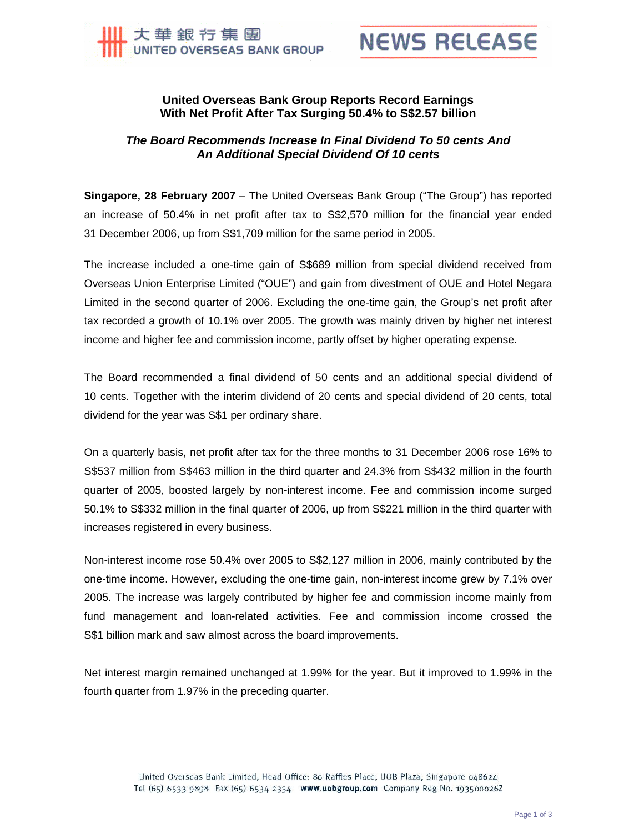



## **United Overseas Bank Group Reports Record Earnings With Net Profit After Tax Surging 50.4% to S\$2.57 billion**

## *The Board Recommends Increase In Final Dividend To 50 cents And An Additional Special Dividend Of 10 cents*

**Singapore, 28 February 2007** – The United Overseas Bank Group ("The Group") has reported an increase of 50.4% in net profit after tax to S\$2,570 million for the financial year ended 31 December 2006, up from S\$1,709 million for the same period in 2005.

The increase included a one-time gain of S\$689 million from special dividend received from Overseas Union Enterprise Limited ("OUE") and gain from divestment of OUE and Hotel Negara Limited in the second quarter of 2006. Excluding the one-time gain, the Group's net profit after tax recorded a growth of 10.1% over 2005. The growth was mainly driven by higher net interest income and higher fee and commission income, partly offset by higher operating expense.

The Board recommended a final dividend of 50 cents and an additional special dividend of 10 cents. Together with the interim dividend of 20 cents and special dividend of 20 cents, total dividend for the year was S\$1 per ordinary share.

On a quarterly basis, net profit after tax for the three months to 31 December 2006 rose 16% to S\$537 million from S\$463 million in the third quarter and 24.3% from S\$432 million in the fourth quarter of 2005, boosted largely by non-interest income. Fee and commission income surged 50.1% to S\$332 million in the final quarter of 2006, up from S\$221 million in the third quarter with increases registered in every business.

Non-interest income rose 50.4% over 2005 to S\$2,127 million in 2006, mainly contributed by the one-time income. However, excluding the one-time gain, non-interest income grew by 7.1% over 2005. The increase was largely contributed by higher fee and commission income mainly from fund management and loan-related activities. Fee and commission income crossed the S\$1 billion mark and saw almost across the board improvements.

Net interest margin remained unchanged at 1.99% for the year. But it improved to 1.99% in the fourth quarter from 1.97% in the preceding quarter.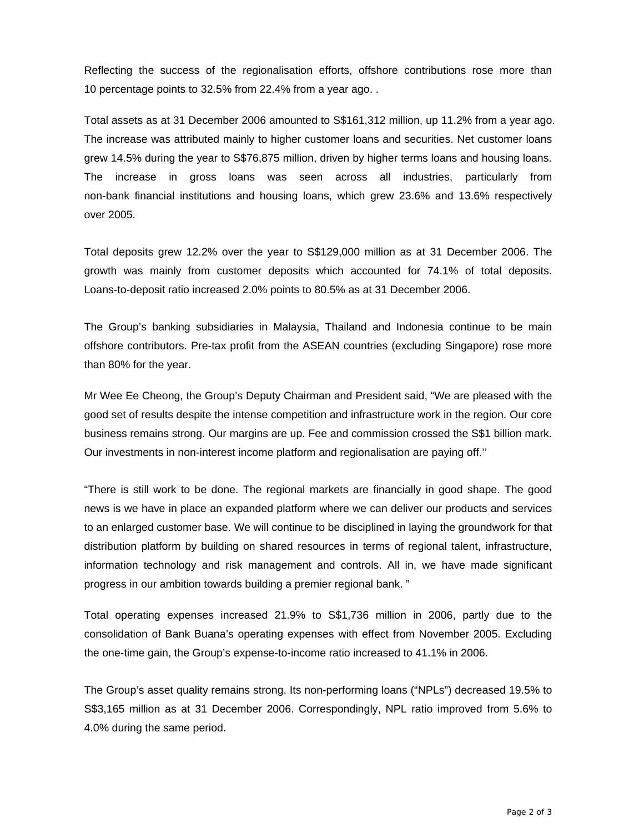Reflecting the success of the regionalisation efforts, offshore contributions rose more than 10 percentage points to 32.5% from 22.4% from a year ago. .

Total assets as at 31 December 2006 amounted to S\$161,312 million, up 11.2% from a year ago. The increase was attributed mainly to higher customer loans and securities. Net customer loans grew 14.5% during the year to S\$76,875 million, driven by higher terms loans and housing loans. The increase in gross loans was seen across all industries, particularly from non-bank financial institutions and housing loans, which grew 23.6% and 13.6% respectively over 2005.

Total deposits grew 12.2% over the year to S\$129,000 million as at 31 December 2006. The growth was mainly from customer deposits which accounted for 74.1% of total deposits. Loans-to-deposit ratio increased 2.0% points to 80.5% as at 31 December 2006.

The Group's banking subsidiaries in Malaysia, Thailand and Indonesia continue to be main offshore contributors. Pre-tax profit from the ASEAN countries (excluding Singapore) rose more than 80% for the year.

Mr Wee Ee Cheong, the Group's Deputy Chairman and President said, "We are pleased with the good set of results despite the intense competition and infrastructure work in the region. Our core business remains strong. Our margins are up. Fee and commission crossed the S\$1 billion mark. Our investments in non-interest income platform and regionalisation are paying off.''

"There is still work to be done. The regional markets are financially in good shape. The good news is we have in place an expanded platform where we can deliver our products and services to an enlarged customer base. We will continue to be disciplined in laying the groundwork for that distribution platform by building on shared resources in terms of regional talent, infrastructure, information technology and risk management and controls. All in, we have made significant progress in our ambition towards building a premier regional bank. "

Total operating expenses increased 21.9% to S\$1,736 million in 2006, partly due to the consolidation of Bank Buana's operating expenses with effect from November 2005. Excluding the one-time gain, the Group's expense-to-income ratio increased to 41.1% in 2006.

The Group's asset quality remains strong. Its non-performing loans ("NPLs") decreased 19.5% to S\$3,165 million as at 31 December 2006. Correspondingly, NPL ratio improved from 5.6% to 4.0% during the same period.